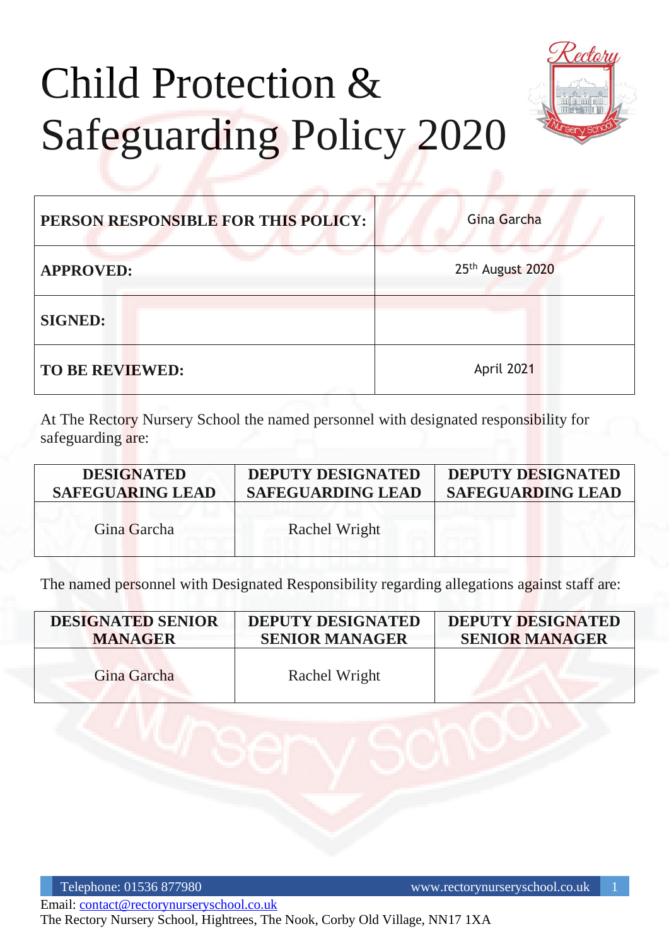# Child Protection & Safeguarding Policy 2020



| PERSON RESPONSIBLE FOR THIS POLICY: | Gina Garcha      |
|-------------------------------------|------------------|
| <b>APPROVED:</b>                    | 25th August 2020 |
| <b>SIGNED:</b>                      |                  |
| <b>TO BE REVIEWED:</b>              | April 2021       |

At The Rectory Nursery School the named personnel with designated responsibility for safeguarding are:

| <b>DESIGNATED</b>       | <b>DEPUTY DESIGNATED</b> | <b>DEPUTY DESIGNATED</b> |
|-------------------------|--------------------------|--------------------------|
| <b>SAFEGUARING LEAD</b> | <b>SAFEGUARDING LEAD</b> | <b>SAFEGUARDING LEAD</b> |
| Gina Garcha             | Rachel Wright            |                          |

The named personnel with Designated Responsibility regarding allegations against staff are:

| <b>DESIGNATED SENIOR</b> | <b>DEPUTY DESIGNATED</b> | <b>DEPUTY DESIGNATED</b> |
|--------------------------|--------------------------|--------------------------|
| <b>MANAGER</b>           | <b>SENIOR MANAGER</b>    | <b>SENIOR MANAGER</b>    |
| Gina Garcha              | Rachel Wright            |                          |

Telephone: 01536 877980 www.rectorynurseryschool.co.uk 1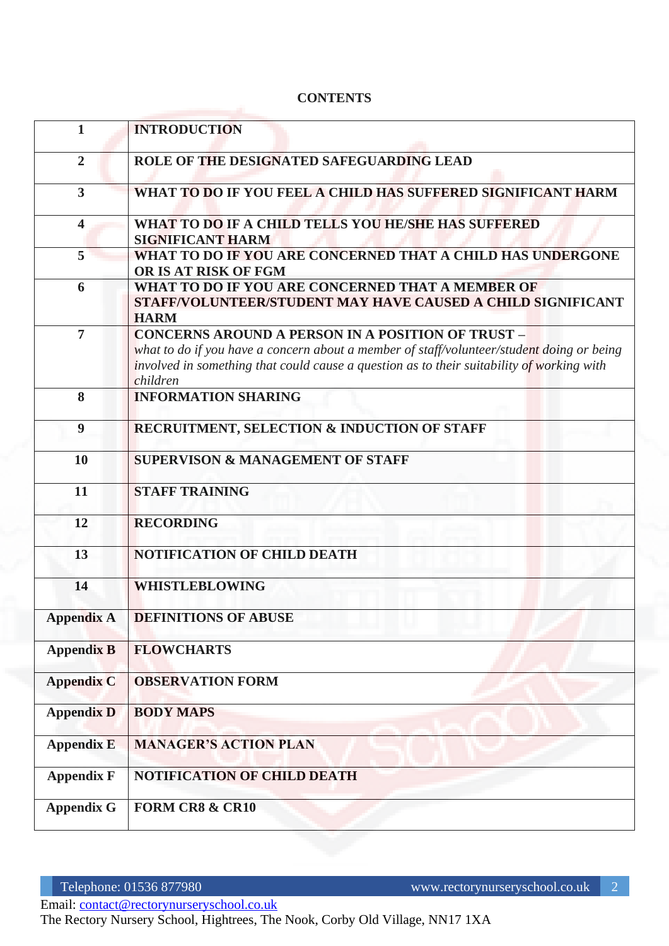#### **CONTENTS**

| $\mathbf{1}$            | <b>INTRODUCTION</b>                                                                                                                                                                                                                                            |
|-------------------------|----------------------------------------------------------------------------------------------------------------------------------------------------------------------------------------------------------------------------------------------------------------|
| $\overline{2}$          | ROLE OF THE DESIGNATED SAFEGUARDING LEAD                                                                                                                                                                                                                       |
| 3 <sup>1</sup>          | WHAT TO DO IF YOU FEEL A CHILD HAS SUFFERED SIGNIFICANT HARM                                                                                                                                                                                                   |
| $\overline{\mathbf{4}}$ | WHAT TO DO IF A CHILD TELLS YOU HE/SHE HAS SUFFERED<br><b>SIGNIFICANT HARM</b>                                                                                                                                                                                 |
| 5                       | WHAT TO DO IF YOU ARE CONCERNED THAT A CHILD HAS UNDERGONE<br>OR IS AT RISK OF FGM                                                                                                                                                                             |
| 6                       | WHAT TO DO IF YOU ARE CONCERNED THAT A MEMBER OF<br>STAFF/VOLUNTEER/STUDENT MAY HAVE CAUSED A CHILD SIGNIFICANT<br><b>HARM</b>                                                                                                                                 |
| $\overline{7}$          | <b>CONCERNS AROUND A PERSON IN A POSITION OF TRUST -</b><br>what to do if you have a concern about a member of staff/volunteer/student doing or being<br>involved in something that could cause a question as to their suitability of working with<br>children |
| 8                       | <b>INFORMATION SHARING</b>                                                                                                                                                                                                                                     |
| $\boldsymbol{9}$        | RECRUITMENT, SELECTION & INDUCTION OF STAFF                                                                                                                                                                                                                    |
| 10                      | <b>SUPERVISON &amp; MANAGEMENT OF STAFF</b>                                                                                                                                                                                                                    |
| 11                      | <b>STAFF TRAINING</b>                                                                                                                                                                                                                                          |
| 12                      | <b>RECORDING</b>                                                                                                                                                                                                                                               |
| 13                      | <b>NOTIFICATION OF CHILD DEATH</b>                                                                                                                                                                                                                             |
| 14                      | <b>WHISTLEBLOWING</b>                                                                                                                                                                                                                                          |
| Appendix A              | <b>DEFINITIONS OF ABUSE</b>                                                                                                                                                                                                                                    |
| <b>Appendix B</b>       | <b>FLOWCHARTS</b>                                                                                                                                                                                                                                              |
| <b>Appendix C</b>       | <b>OBSERVATION FORM</b>                                                                                                                                                                                                                                        |
| <b>Appendix D</b>       | <b>BODY MAPS</b>                                                                                                                                                                                                                                               |
| <b>Appendix E</b>       | <b>MANAGER'S ACTION PLAN</b>                                                                                                                                                                                                                                   |
| <b>Appendix F</b>       | <b>NOTIFICATION OF CHILD DEATH</b>                                                                                                                                                                                                                             |
| <b>Appendix G</b>       | <b>FORM CR8 &amp; CR10</b>                                                                                                                                                                                                                                     |

Email: [contact@rectorynurseryschool.co.uk](mailto:contact@rectorynurseryschool.co.uk)

The Rectory Nursery School, Hightrees, The Nook, Corby Old Village, NN17 1XA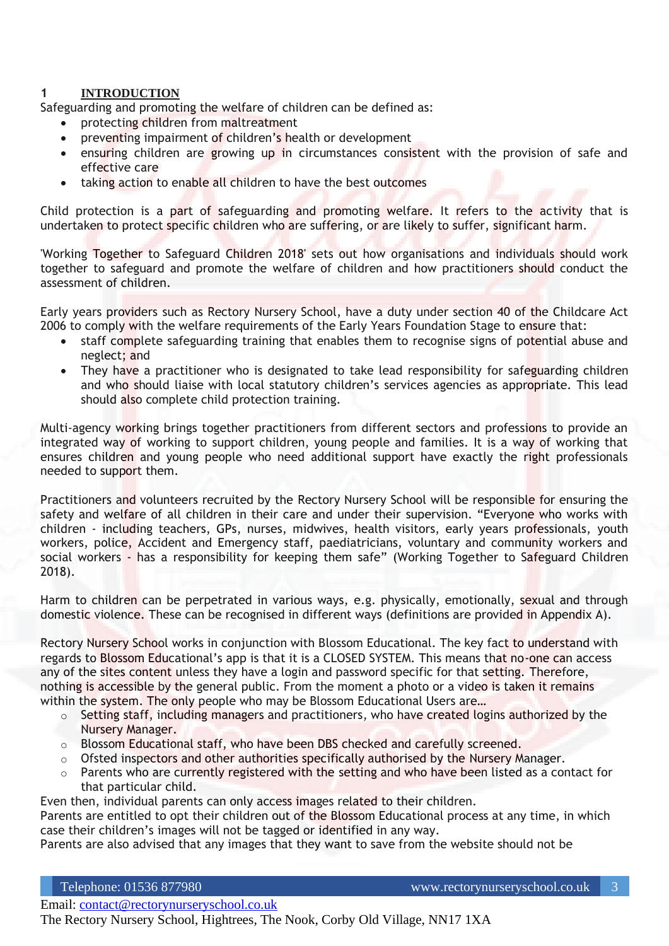#### **1 INTRODUCTION**

Safeguarding and promoting the welfare of children can be defined as:

- protecting children from maltreatment
- preventing impairment of children's health or development
- ensuring children are growing up in circumstances consistent with the provision of safe and effective care
- taking action to enable all children to have the best outcomes

Child protection is a part of safeguarding and promoting welfare. It refers to the activity that is undertaken to protect specific children who are suffering, or are likely to suffer, significant harm.

'Working Together to Safeguard Children 2018' sets out how organisations and individuals should work together to safeguard and promote the welfare of children and how practitioners should conduct the assessment of children.

Early years providers such as Rectory Nursery School, have a duty under section 40 of the Childcare Act 2006 to comply with the welfare requirements of the Early Years Foundation Stage to ensure that:

- staff complete safeguarding training that enables them to recognise signs of potential abuse and neglect; and
- They have a practitioner who is designated to take lead responsibility for safeguarding children and who should liaise with local statutory children's services agencies as appropriate. This lead should also complete child protection training.

Multi-agency working brings together practitioners from different sectors and professions to provide an integrated way of working to support children, young people and families. It is a way of working that ensures children and young people who need additional support have exactly the right professionals needed to support them.

Practitioners and volunteers recruited by the Rectory Nursery School will be responsible for ensuring the safety and welfare of all children in their care and under their supervision. "Everyone who works with children - including teachers, GPs, nurses, midwives, health visitors, early years professionals, youth workers, police, Accident and Emergency staff, paediatricians, voluntary and community workers and social workers - has a responsibility for keeping them safe" (Working Together to Safeguard Children 2018).

Harm to children can be perpetrated in various ways, e.g. physically, emotionally, sexual and through domestic violence. These can be recognised in different ways (definitions are provided in Appendix A).

Rectory Nursery School works in conjunction with Blossom Educational. The key fact to understand with regards to Blossom Educational's app is that it is a CLOSED SYSTEM. This means that no-one can access any of the sites content unless they have a login and password specific for that setting. Therefore, nothing is accessible by the general public. From the moment a photo or a video is taken it remains within the system. The only people who may be Blossom Educational Users are...

- $\circ$  Setting staff, including managers and practitioners, who have created logins authorized by the Nursery Manager.
- o Blossom Educational staff, who have been DBS checked and carefully screened.
- o Ofsted inspectors and other authorities specifically authorised by the Nursery Manager.
- $\circ$  Parents who are currently registered with the setting and who have been listed as a contact for that particular child.

Even then, individual parents can only access images related to their children.

Parents are entitled to opt their children out of the Blossom Educational process at any time, in which case their children's images will not be tagged or identified in any way.

Parents are also advised that any images that they want to save from the website should not be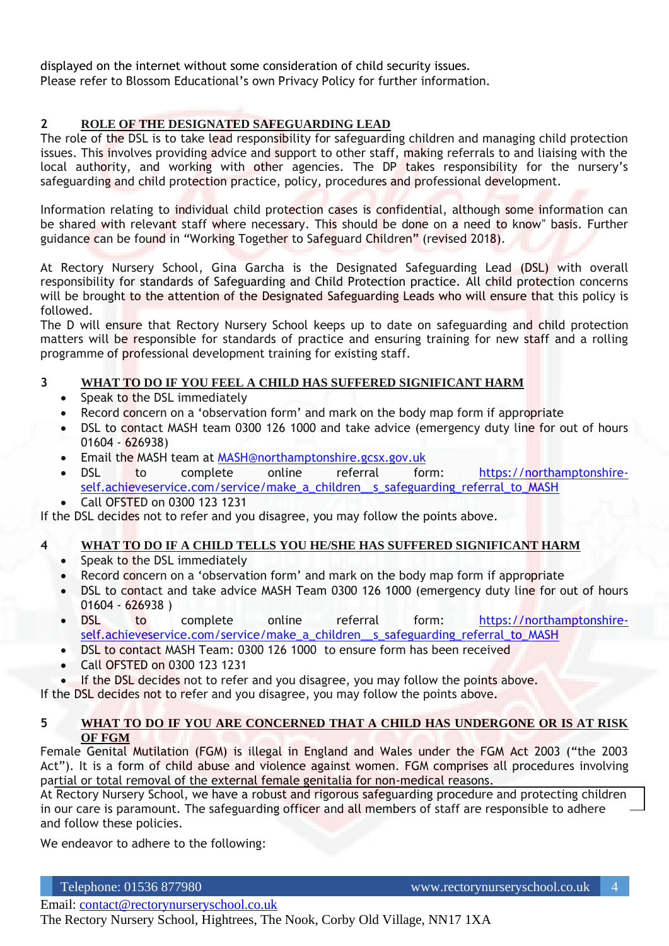displayed on the internet without some consideration of child security issues. Please refer to Blossom Educational's own Privacy Policy for further information.

#### **2 ROLE OF THE DESIGNATED SAFEGUARDING LEAD**

The role of the DSL is to take lead responsibility for safeguarding children and managing child protection issues. This involves providing advice and support to other staff, making referrals to and liaising with the local authority, and working with other agencies. The DP takes responsibility for the nursery's safeguarding and child protection practice, policy, procedures and professional development.

Information relating to individual child protection cases is confidential, although some information can be shared with relevant staff where necessary. This should be done on a need to know" basis. Further guidance can be found in "Working Together to Safeguard Children" (revised 2018).

At Rectory Nursery School, Gina Garcha is the Designated Safeguarding Lead (DSL) with overall responsibility for standards of Safeguarding and Child Protection practice. All child protection concerns will be brought to the attention of the Designated Safeguarding Leads who will ensure that this policy is followed.

The D will ensure that Rectory Nursery School keeps up to date on safeguarding and child protection matters will be responsible for standards of practice and ensuring training for new staff and a rolling programme of professional development training for existing staff.

#### **3 WHAT TO DO IF YOU FEEL A CHILD HAS SUFFERED SIGNIFICANT HARM**

- Speak to the DSL immediately
- Record concern on a 'observation form' and mark on the body map form if appropriate
- DSL to contact MASH team 0300 126 1000 and take advice (emergency duty line for out of hours 01604 - 626938)
- Email the MASH team at [MASH@northamptonshire.gcsx.gov.uk](mailto:MASH@northamptonshire.gcsx.gov.uk)
- DSL to complete online referral form: [https://northamptonshire](https://northamptonshire-self.achieveservice.com/service/make_a_children__s_safeguarding_referral_to_MASH)[self.achieveservice.com/service/make\\_a\\_children\\_\\_s\\_safeguarding\\_referral\\_to\\_MASH](https://northamptonshire-self.achieveservice.com/service/make_a_children__s_safeguarding_referral_to_MASH)
- Call OFSTED on 0300 123 1231

If the DSL decides not to refer and you disagree, you may follow the points above.

#### **4 WHAT TO DO IF A CHILD TELLS YOU HE/SHE HAS SUFFERED SIGNIFICANT HARM**

- Speak to the DSL immediately
- Record concern on a 'observation form' and mark on the body map form if appropriate
- DSL to contact and take advice MASH Team 0300 126 1000 (emergency duty line for out of hours 01604 - 626938 )
- DSL to complete online referral form: [https://northamptonshire](https://northamptonshire-self.achieveservice.com/service/make_a_children__s_safeguarding_referral_to_MASH)self.achieveservice.com/service/make\_a\_children\_s\_safeguarding\_referral\_to\_MASH
- DSL to contact MASH Team: 0300 126 1000 to ensure form has been received
- Call OFSTED on 0300 123 1231
- If the DSL decides not to refer and you disagree, you may follow the points above.

If the DSL decides not to refer and you disagree, you may follow the points above.

#### **5 WHAT TO DO IF YOU ARE CONCERNED THAT A CHILD HAS UNDERGONE OR IS AT RISK OF FGM**

Female Genital Mutilation (FGM) is illegal in England and Wales under the FGM Act 2003 ("the 2003 Act"). It is a form of child abuse and violence against women. FGM comprises all procedures involving partial or total removal of the external female genitalia for non-medical reasons.

At Rectory Nursery School, we have a robust and rigorous safeguarding procedure and protecting children in our care is paramount. The safeguarding officer and all members of staff are responsible to adhere and follow these policies.

We endeavor to adhere to the following: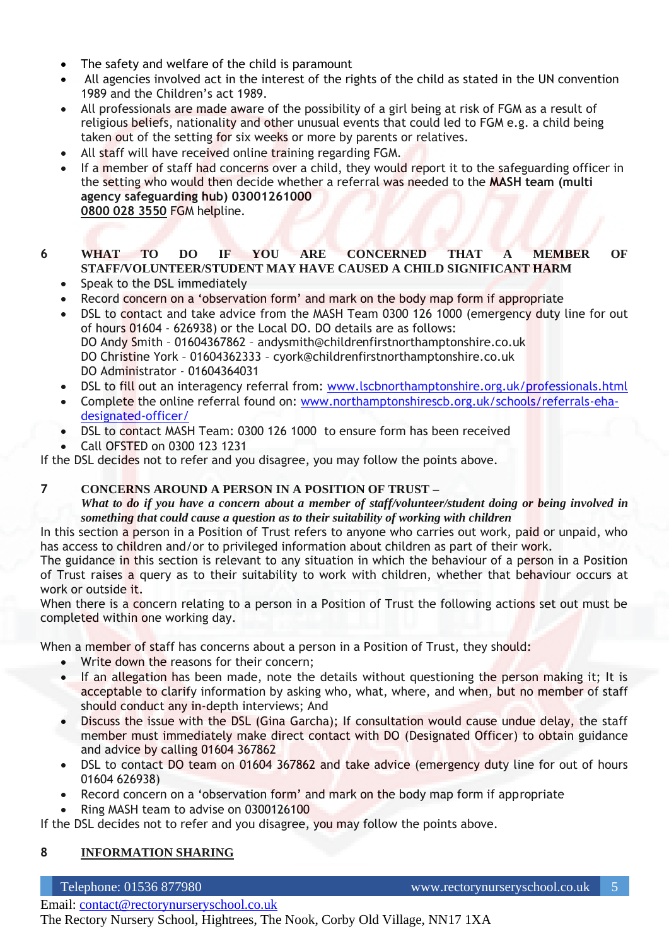- The safety and welfare of the child is paramount
- All agencies involved act in the interest of the rights of the child as stated in the UN convention 1989 and the Children's act 1989.
- All professionals are made aware of the possibility of a girl being at risk of FGM as a result of religious beliefs, nationality and other unusual events that could led to FGM e.g. a child being taken out of the setting for six weeks or more by parents or relatives.
- All staff will have received online training regarding FGM.
- If a member of staff had concerns over a child, they would report it to the safeguarding officer in the setting who would then decide whether a referral was needed to the **MASH team (multi agency safeguarding hub) 03001261000 [0800 028 3550](tel:08000283550)** FGM helpline.

#### **6 WHAT TO DO IF YOU ARE CONCERNED THAT A MEMBER OF STAFF/VOLUNTEER/STUDENT MAY HAVE CAUSED A CHILD SIGNIFICANT HARM**

- Speak to the DSL immediately
- Record concern on a 'observation form' and mark on the body map form if appropriate
- DSL to contact and take advice from the MASH Team 0300 126 1000 (emergency duty line for out of hours 01604 - 626938) or the Local DO. DO details are as follows: DO Andy Smith – 01604367862 – andysmith@childrenfirstnorthamptonshire.co.uk DO Christine York – 01604362333 – cyork@childrenfirstnorthamptonshire.co.uk DO Administrator - 01604364031
- DSL to fill out an interagency referral from: [www.lscbnorthamptonshire.org.uk/professionals.html](http://www.lscbnorthamptonshire.org.uk/professionals.html)
- Complete the online referral found on: [www.northamptonshirescb.org.uk/schools/referrals-eha](http://www.northamptonshirescb.org.uk/schools/referrals-eha-designated-officer/)[designated-officer/](http://www.northamptonshirescb.org.uk/schools/referrals-eha-designated-officer/)
- DSL to contact MASH Team: 0300 126 1000 to ensure form has been received
- Call OFSTED on 0300 123 1231

If the DSL decides not to refer and you disagree, you may follow the points above.

#### **7 CONCERNS AROUND A PERSON IN A POSITION OF TRUST –**

*What to do if you have a concern about a member of staff/volunteer/student doing or being involved in something that could cause a question as to their suitability of working with children*

In this section a person in a Position of Trust refers to anyone who carries out work, paid or unpaid, who has access to children and/or to privileged information about children as part of their work.

The guidance in this section is relevant to any situation in which the behaviour of a person in a Position of Trust raises a query as to their suitability to work with children, whether that behaviour occurs at work or outside it.

When there is a concern relating to a person in a Position of Trust the following actions set out must be completed within one working day.

When a member of staff has concerns about a person in a Position of Trust, they should:

- Write down the reasons for their concern;
- If an allegation has been made, note the details without questioning the person making it; It is acceptable to clarify information by asking who, what, where, and when, but no member of staff should conduct any in-depth interviews; And
- Discuss the issue with the DSL (Gina Garcha); If consultation would cause undue delay, the staff member must immediately make direct contact with DO (Designated Officer) to obtain guidance and advice by calling 01604 367862
- DSL to contact DO team on 01604 367862 and take advice (emergency duty line for out of hours 01604 626938)
- Record concern on a 'observation form' and mark on the body map form if appropriate
- Ring MASH team to advise on 0300126100

If the DSL decides not to refer and you disagree, you may follow the points above.

#### **8 INFORMATION SHARING**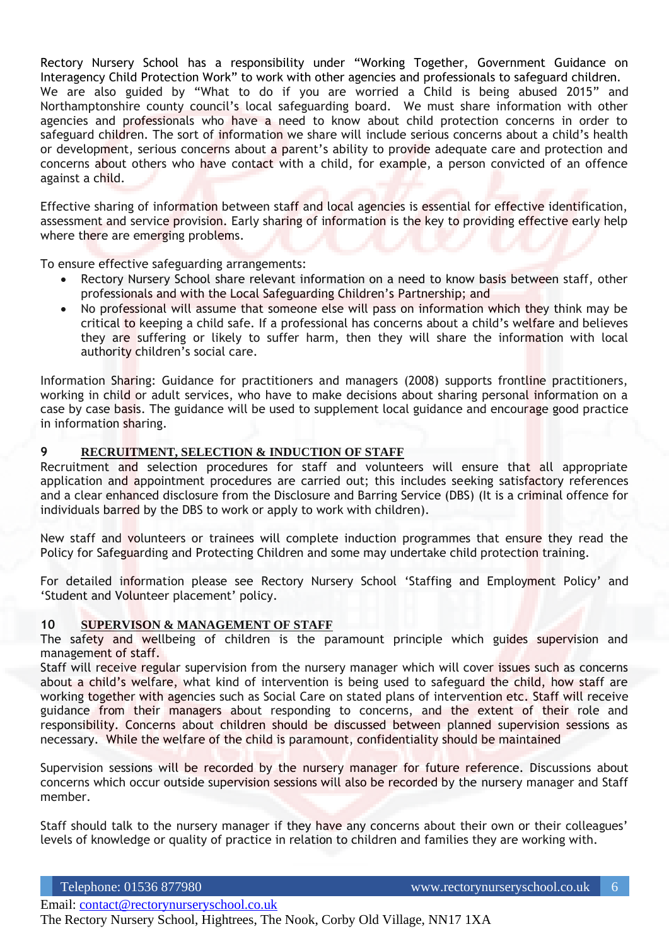Rectory Nursery School has a responsibility under "Working Together, Government Guidance on Interagency Child Protection Work" to work with other agencies and professionals to safeguard children. We are also guided by "What to do if you are worried a Child is being abused 2015" and Northamptonshire county council's local safeguarding board. We must share information with other agencies and professionals who have a need to know about child protection concerns in order to safeguard children. The sort of information we share will include serious concerns about a child's health or development, serious concerns about a parent's ability to provide adequate care and protection and concerns about others who have contact with a child, for example, a person convicted of an offence against a child.

Effective sharing of information between staff and local agencies is essential for effective identification, assessment and service provision. Early sharing of information is the key to providing effective early help where there are emerging problems.

To ensure effective safeguarding arrangements:

- Rectory Nursery School share relevant information on a need to know basis between staff, other professionals and with the Local Safeguarding Children's Partnership; and
- No professional will assume that someone else will pass on information which they think may be critical to keeping a child safe. If a professional has concerns about a child's welfare and believes they are suffering or likely to suffer harm, then they will share the information with local authority children's social care.

Information Sharing: Guidance for practitioners and managers (2008) supports frontline practitioners, working in child or adult services, who have to make decisions about sharing personal information on a case by case basis. The guidance will be used to supplement local guidance and encourage good practice in information sharing.

#### **9 RECRUITMENT, SELECTION & INDUCTION OF STAFF**

Recruitment and selection procedures for staff and volunteers will ensure that all appropriate application and appointment procedures are carried out; this includes seeking satisfactory references and a clear enhanced disclosure from the Disclosure and Barring Service (DBS) (It is a criminal offence for individuals barred by the DBS to work or apply to work with children).

New staff and volunteers or trainees will complete induction programmes that ensure they read the Policy for Safeguarding and Protecting Children and some may undertake child protection training.

For detailed information please see Rectory Nursery School 'Staffing and Employment Policy' and 'Student and Volunteer placement' policy.

#### **10 SUPERVISON & MANAGEMENT OF STAFF**

The safety and wellbeing of children is the paramount principle which guides supervision and management of staff.

Staff will receive regular supervision from the nursery manager which will cover issues such as concerns about a child's welfare, what kind of intervention is being used to safeguard the child, how staff are working together with agencies such as Social Care on stated plans of intervention etc. Staff will receive guidance from their managers about responding to concerns, and the extent of their role and responsibility. Concerns about children should be discussed between planned supervision sessions as necessary. While the welfare of the child is paramount, confidentiality should be maintained

Supervision sessions will be recorded by the nursery manager for future reference. Discussions about concerns which occur outside supervision sessions will also be recorded by the nursery manager and Staff member.

Staff should talk to the nursery manager if they have any concerns about their own or their colleagues' levels of knowledge or quality of practice in relation to children and families they are working with.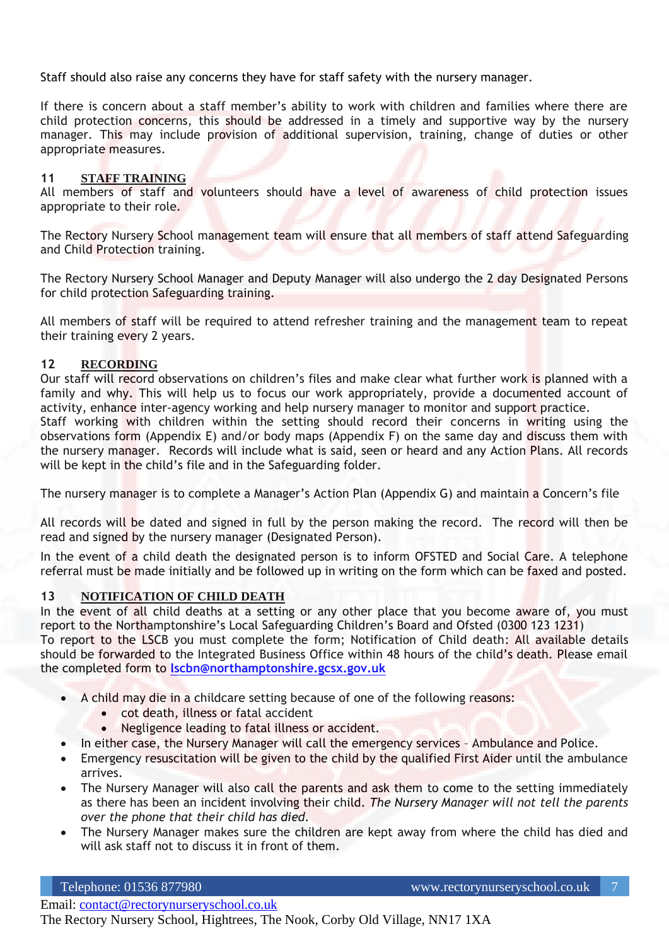Staff should also raise any concerns they have for staff safety with the nursery manager.

If there is concern about a staff member's ability to work with children and families where there are child protection concerns, this should be addressed in a timely and supportive way by the nursery manager. This may include provision of additional supervision, training, change of duties or other appropriate measures.

#### **11 STAFF TRAINING**

All members of staff and volunteers should have a level of awareness of child protection issues appropriate to their role.

The Rectory Nursery School management team will ensure that all members of staff attend Safeguarding and Child Protection training.

The Rectory Nursery School Manager and Deputy Manager will also undergo the 2 day Designated Persons for child protection Safeguarding training.

All members of staff will be required to attend refresher training and the management team to repeat their training every 2 years.

#### **12 RECORDING**

Our staff will record observations on children's files and make clear what further work is planned with a family and why. This will help us to focus our work appropriately, provide a documented account of activity, enhance inter-agency working and help nursery manager to monitor and support practice.

Staff working with children within the setting should record their concerns in writing using the observations form (Appendix E) and/or body maps (Appendix F) on the same day and discuss them with the nursery manager. Records will include what is said, seen or heard and any Action Plans. All records will be kept in the child's file and in the Safeguarding folder.

The nursery manager is to complete a Manager's Action Plan (Appendix G) and maintain a Concern's file

All records will be dated and signed in full by the person making the record. The record will then be read and signed by the nursery manager (Designated Person).

In the event of a child death the designated person is to inform OFSTED and Social Care. A telephone referral must be made initially and be followed up in writing on the form which can be faxed and posted.

#### **13 NOTIFICATION OF CHILD DEATH**

In the event of all child deaths at a setting or any other place that you become aware of, you must report to the Northamptonshire's Local Safeguarding Children's Board and Ofsted (0300 123 1231)

To report to the LSCB you must complete the form; Notification of Child death: All available details should be forwarded to the Integrated Business Office within 48 hours of the child's death. Please email the completed form to **[lscbn@northamptonshire.gcsx.gov.uk](mailto:lscbn@northamptonshire.gcsx.gov.uk)**

- A child may die in a childcare setting because of one of the following reasons:
	- cot death, illness or fatal accident
	- Negligence leading to fatal illness or accident.
	- In either case, the Nursery Manager will call the emergency services Ambulance and Police.
- Emergency resuscitation will be given to the child by the qualified First Aider until the ambulance arrives.
- The Nursery Manager will also call the parents and ask them to come to the setting immediately as there has been an incident involving their child. *The Nursery Manager will not tell the parents over the phone that their child has died.*
- The Nursery Manager makes sure the children are kept away from where the child has died and will ask staff not to discuss it in front of them.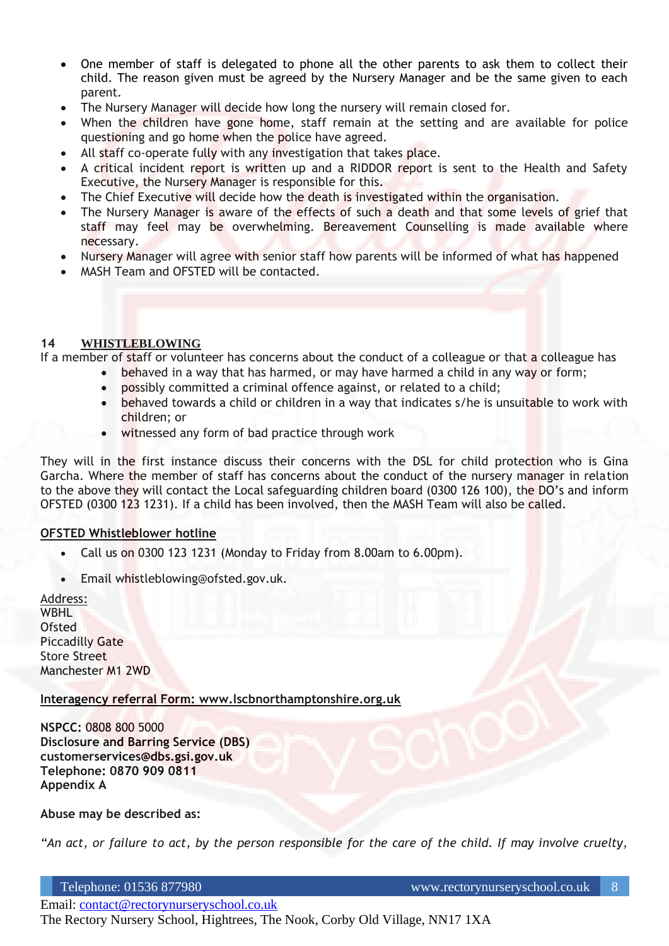- One member of staff is delegated to phone all the other parents to ask them to collect their child. The reason given must be agreed by the Nursery Manager and be the same given to each parent.
- The Nursery Manager will decide how long the nursery will remain closed for.
- When the children have gone home, staff remain at the setting and are available for police questioning and go home when the police have agreed.
- All staff co-operate fully with any investigation that takes place.
- A critical incident report is written up and a RIDDOR report is sent to the Health and Safety Executive, the Nursery Manager is responsible for this.
- The Chief Executive will decide how the death is investigated within the organisation.
- The Nursery Manager is aware of the effects of such a death and that some levels of grief that staff may feel may be overwhelming. Bereavement Counselling is made available where necessary.
- Nursery Manager will agree with senior staff how parents will be informed of what has happened
- MASH Team and OFSTED will be contacted.

#### **14 WHISTLEBLOWING**

If a member of staff or volunteer has concerns about the conduct of a colleague or that a colleague has

- behaved in a way that has harmed, or may have harmed a child in any way or form;
- possibly committed a criminal offence against, or related to a child;
- behaved towards a child or children in a way that indicates s/he is unsuitable to work with children; or
- witnessed any form of bad practice through work

They will in the first instance discuss their concerns with the DSL for child protection who is Gina Garcha. Where the member of staff has concerns about the conduct of the nursery manager in relation to the above they will contact the Local safeguarding children board (0300 126 100), the DO's and inform OFSTED (0300 123 1231). If a child has been involved, then the MASH Team will also be called.

#### **OFSTED Whistleblower hotline**

- Call us on 0300 123 1231 (Monday to Friday from 8.00am to 6.00pm).
- Email whistleblowing@ofsted.gov.uk.

Address: WBHL **Ofsted** Piccadilly Gate Store Street Manchester M1 2WD

#### **Interagency referral Form: www.lscbnorthamptonshire.org.uk**

**NSPCC:** 0808 800 5000 **Disclosure and Barring Service (DBS) customerservices@dbs.gsi.gov.uk Telephone: 0870 909 0811 Appendix A**

#### **Abuse may be described as:**

*"An act, or failure to act, by the person responsible for the care of the child. If may involve cruelty,*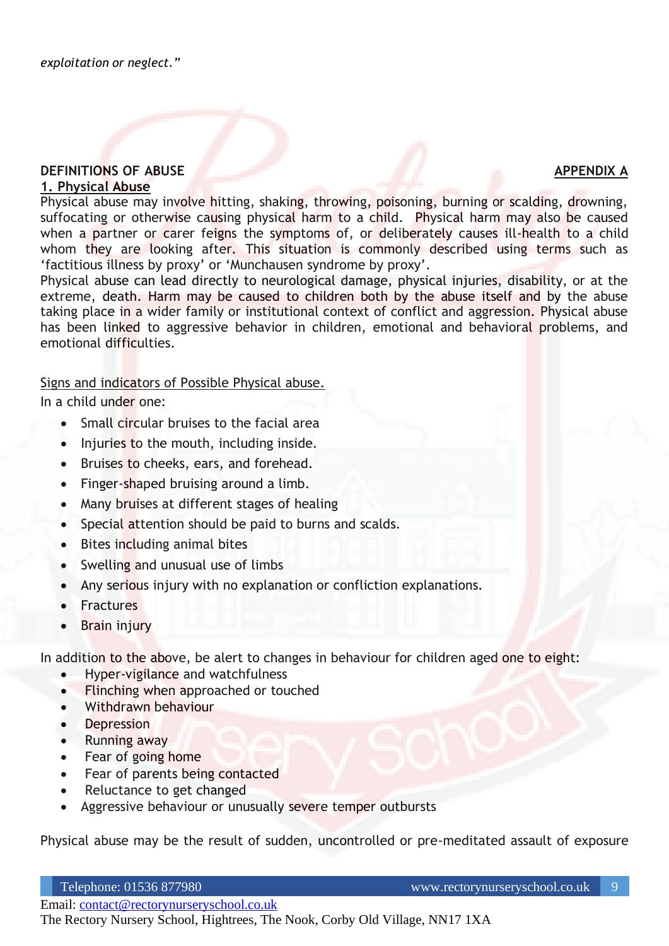#### **DEFINITIONS OF ABUSE APPENDIX A 1. Physical Abuse**

Physical abuse may involve hitting, shaking, throwing, poisoning, burning or scalding, drowning, suffocating or otherwise causing physical harm to a child. Physical harm may also be caused when a partner or carer feigns the symptoms of, or deliberately causes ill-health to a child whom they are looking after. This situation is commonly described using terms such as 'factitious illness by proxy' or 'Munchausen syndrome by proxy'.

Physical abuse can lead directly to neurological damage, physical injuries, disability, or at the extreme, death. Harm may be caused to children both by the abuse itself and by the abuse taking place in a wider family or institutional context of conflict and aggression. Physical abuse has been linked to aggressive behavior in children, emotional and behavioral problems, and emotional difficulties.

Signs and indicators of Possible Physical abuse.

In a child under one:

- Small circular bruises to the facial area
- Injuries to the mouth, including inside.
- Bruises to cheeks, ears, and forehead.
- Finger-shaped bruising around a limb.
- Many bruises at different stages of healing
- Special attention should be paid to burns and scalds.
- Bites including animal bites
- Swelling and unusual use of limbs
- Any serious injury with no explanation or confliction explanations.
- Fractures
- Brain injury

In addition to the above, be alert to changes in behaviour for children aged one to eight:

- Hyper-vigilance and watchfulness
- Flinching when approached or touched
- Withdrawn behaviour
- Depression
- Running away
- Fear of going home
- Fear of parents being contacted
- Reluctance to get changed
- Aggressive behaviour or unusually severe temper outbursts

Physical abuse may be the result of sudden, uncontrolled or pre-meditated assault of exposure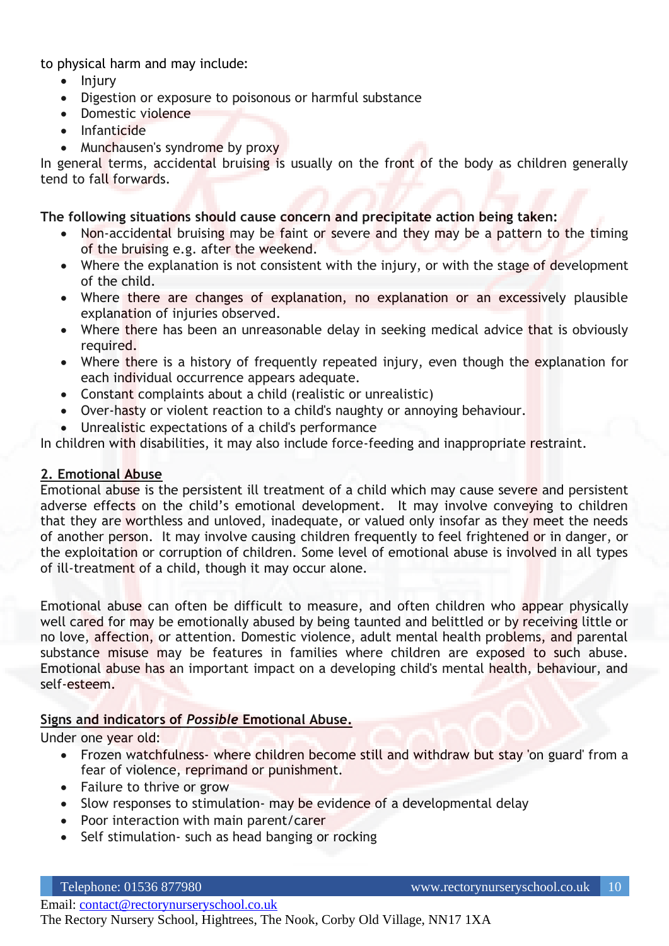to physical harm and may include:

- Injury
- Digestion or exposure to poisonous or harmful substance
- Domestic violence
- Infanticide
- Munchausen's syndrome by proxy

In general terms, accidental bruising is usually on the front of the body as children generally tend to fall forwards.

#### **The following situations should cause concern and precipitate action being taken:**

- Non-accidental bruising may be faint or severe and they may be a pattern to the timing of the bruising e.g. after the weekend.
- Where the explanation is not consistent with the injury, or with the stage of development of the child.
- Where there are changes of explanation, no explanation or an excessively plausible explanation of injuries observed.
- Where there has been an unreasonable delay in seeking medical advice that is obviously required.
- Where there is a history of frequently repeated injury, even though the explanation for each individual occurrence appears adequate.
- Constant complaints about a child (realistic or unrealistic)
- Over-hasty or violent reaction to a child's naughty or annoying behaviour.
- Unrealistic expectations of a child's performance

In children with disabilities, it may also include force-feeding and inappropriate restraint.

#### **2. Emotional Abuse**

Emotional abuse is the persistent ill treatment of a child which may cause severe and persistent adverse effects on the child's emotional development. It may involve conveying to children that they are worthless and unloved, inadequate, or valued only insofar as they meet the needs of another person. It may involve causing children frequently to feel frightened or in danger, or the exploitation or corruption of children. Some level of emotional abuse is involved in all types of ill-treatment of a child, though it may occur alone.

Emotional abuse can often be difficult to measure, and often children who appear physically well cared for may be emotionally abused by being taunted and belittled or by receiving little or no love, affection, or attention. Domestic violence, adult mental health problems, and parental substance misuse may be features in families where children are exposed to such abuse. Emotional abuse has an important impact on a developing child's mental health, behaviour, and self-esteem.

#### **Signs and indicators of** *Possible* **Emotional Abuse.**

Under one year old:

- Frozen watchfulness- where children become still and withdraw but stay 'on guard' from a fear of violence, reprimand or punishment.
- Failure to thrive or grow
- Slow responses to stimulation- may be evidence of a developmental delay
- Poor interaction with main parent/carer
- Self stimulation- such as head banging or rocking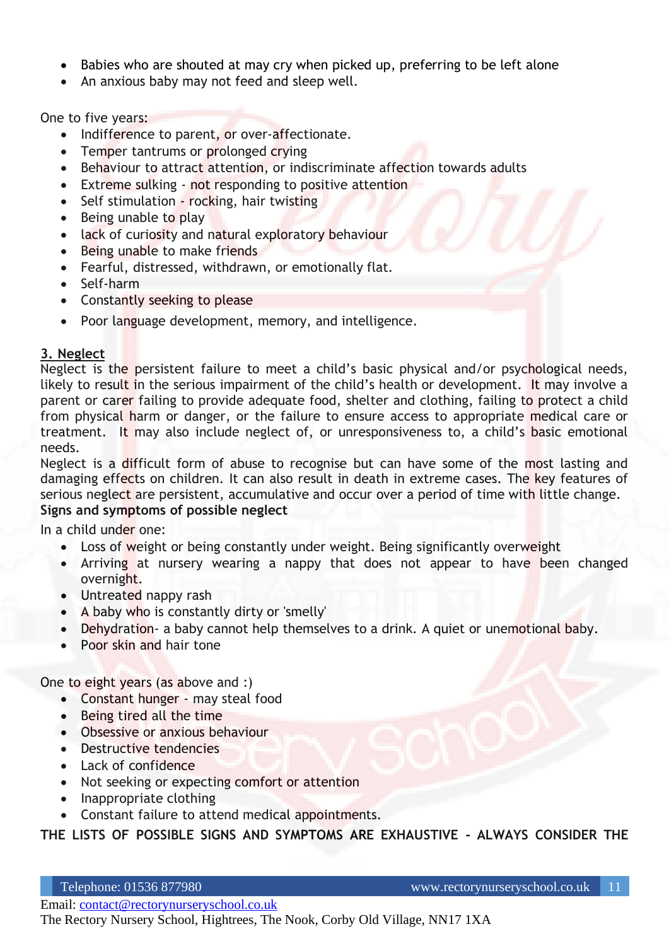- Babies who are shouted at may cry when picked up, preferring to be left alone
- An anxious baby may not feed and sleep well.

One to five years:

- Indifference to parent, or over-affectionate.
- Temper tantrums or prolonged crying
- Behaviour to attract attention, or indiscriminate affection towards adults
- Extreme sulking not responding to positive attention
- Self stimulation rocking, hair twisting
- Being unable to play
- lack of curiosity and natural exploratory behaviour
- Being unable to make friends
- Fearful, distressed, withdrawn, or emotionally flat.
- Self-harm
- Constantly seeking to please
- Poor language development, memory, and intelligence.

## **3. Neglect**

Neglect is the persistent failure to meet a child's basic physical and/or psychological needs, likely to result in the serious impairment of the child's health or development. It may involve a parent or carer failing to provide adequate food, shelter and clothing, failing to protect a child from physical harm or danger, or the failure to ensure access to appropriate medical care or treatment. It may also include neglect of, or unresponsiveness to, a child's basic emotional needs.

Neglect is a difficult form of abuse to recognise but can have some of the most lasting and damaging effects on children. It can also result in death in extreme cases. The key features of serious neglect are persistent, accumulative and occur over a period of time with little change. **Signs and symptoms of possible neglect** 

#### In a child under one:

- Loss of weight or being constantly under weight. Being significantly overweight
- Arriving at nursery wearing a nappy that does not appear to have been changed overnight.
- Untreated nappy rash
- A baby who is constantly dirty or 'smelly'
- Dehydration- a baby cannot help themselves to a drink. A quiet or unemotional baby.
- Poor skin and hair tone

One to eight years (as above and :)

- Constant hunger may steal food
- Being tired all the time
- Obsessive or anxious behaviour
- Destructive tendencies
- Lack of confidence
- Not seeking or expecting comfort or attention
- Inappropriate clothing
- Constant failure to attend medical appointments.

**THE LISTS OF POSSIBLE SIGNS AND SYMPTOMS ARE EXHAUSTIVE - ALWAYS CONSIDER THE**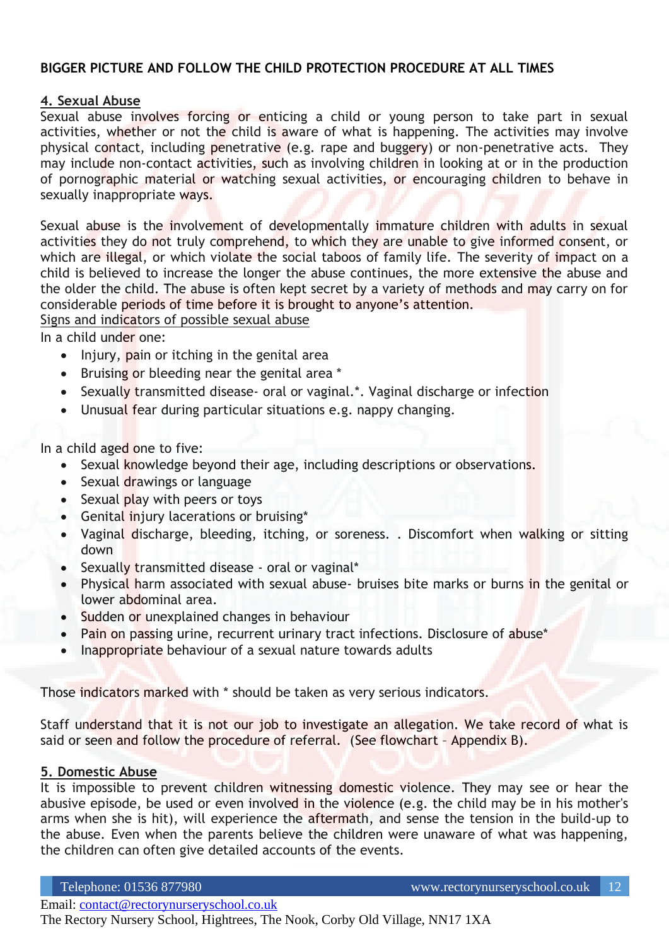#### **BIGGER PICTURE AND FOLLOW THE CHILD PROTECTION PROCEDURE AT ALL TIMES**

#### **4. Sexual Abuse**

Sexual abuse involves forcing or enticing a child or young person to take part in sexual activities, whether or not the child is aware of what is happening. The activities may involve physical contact, including penetrative (e.g. rape and buggery) or non-penetrative acts. They may include non-contact activities, such as involving children in looking at or in the production of pornographic material or watching sexual activities, or encouraging children to behave in sexually inappropriate ways.

Sexual abuse is the involvement of developmentally immature children with adults in sexual activities they do not truly comprehend, to which they are unable to give informed consent, or which are illegal, or which violate the social taboos of family life. The severity of impact on a child is believed to increase the longer the abuse continues, the more extensive the abuse and the older the child. The abuse is often kept secret by a variety of methods and may carry on for considerable periods of time before it is brought to anyone's attention.

Signs and indicators of possible sexual abuse

In a child under one:

- Injury, pain or itching in the genital area
- Bruising or bleeding near the genital area \*
- Sexually transmitted disease- oral or vaginal.\*. Vaginal discharge or infection
- Unusual fear during particular situations e.g. nappy changing.

In a child aged one to five:

- Sexual knowledge beyond their age, including descriptions or observations.
- Sexual drawings or language
- Sexual play with peers or toys
- Genital injury lacerations or bruising\*
- Vaginal discharge, bleeding, itching, or soreness. . Discomfort when walking or sitting down
- Sexually transmitted disease oral or vaginal\*
- Physical harm associated with sexual abuse- bruises bite marks or burns in the genital or lower abdominal area.
- Sudden or unexplained changes in behaviour
- Pain on passing urine, recurrent urinary tract infections. Disclosure of abuse\*
- Inappropriate behaviour of a sexual nature towards adults

Those indicators marked with \* should be taken as very serious indicators.

Staff understand that it is not our job to investigate an allegation. We take record of what is said or seen and follow the procedure of referral. (See flowchart – Appendix B).

#### **5. Domestic Abuse**

It is impossible to prevent children witnessing domestic violence. They may see or hear the abusive episode, be used or even involved in the violence (e.g. the child may be in his mother's arms when she is hit), will experience the aftermath, and sense the tension in the build-up to the abuse. Even when the parents believe the children were unaware of what was happening, the children can often give detailed accounts of the events.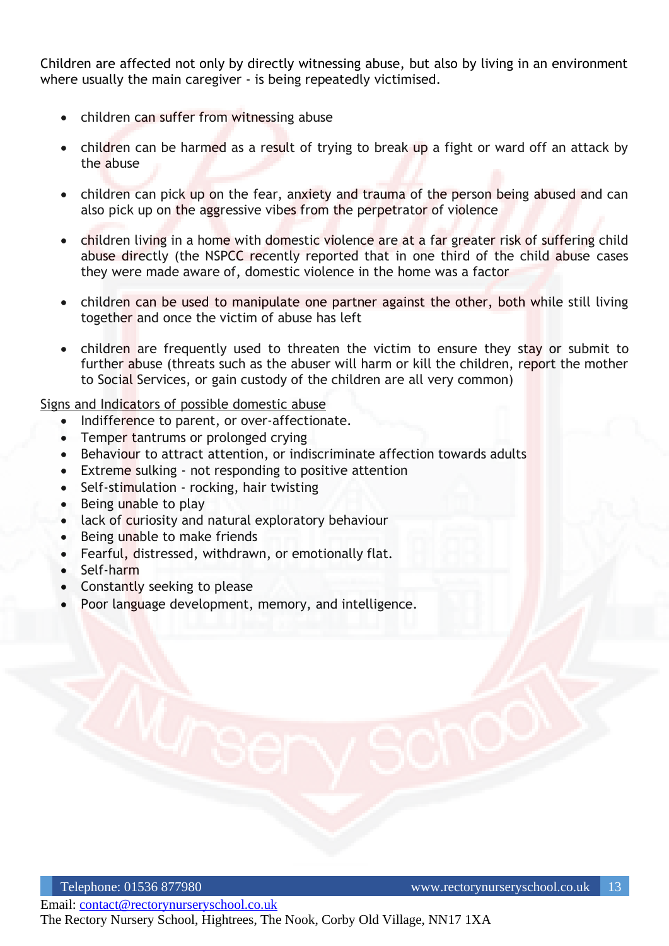Children are affected not only by directly witnessing abuse, but also by living in an environment where usually the main caregiver - is being repeatedly victimised.

- children can suffer from witnessing abuse
- children can be harmed as a result of trying to break up a fight or ward off an attack by the abuse
- children can pick up on the fear, anxiety and trauma of the person being abused and can also pick up on the aggressive vibes from the perpetrator of violence
- children living in a home with domestic violence are at a far greater risk of suffering child abuse directly (the NSPCC recently reported that in one third of the child abuse cases they were made aware of, domestic violence in the home was a factor
- children can be used to manipulate one partner against the other, both while still living together and once the victim of abuse has left
- children are frequently used to threaten the victim to ensure they stay or submit to further abuse (threats such as the abuser will harm or kill the children, report the mother to Social Services, or gain custody of the children are all very common)

Signs and Indicators of possible domestic abuse

- Indifference to parent, or over-affectionate.
- Temper tantrums or prolonged crying
- Behaviour to attract attention, or indiscriminate affection towards adults
- Extreme sulking not responding to positive attention
- Self-stimulation rocking, hair twisting
- Being unable to play
- lack of curiosity and natural exploratory behaviour
- Being unable to make friends
- Fearful, distressed, withdrawn, or emotionally flat.
- Self-harm
- Constantly seeking to please
- Poor language development, memory, and intelligence.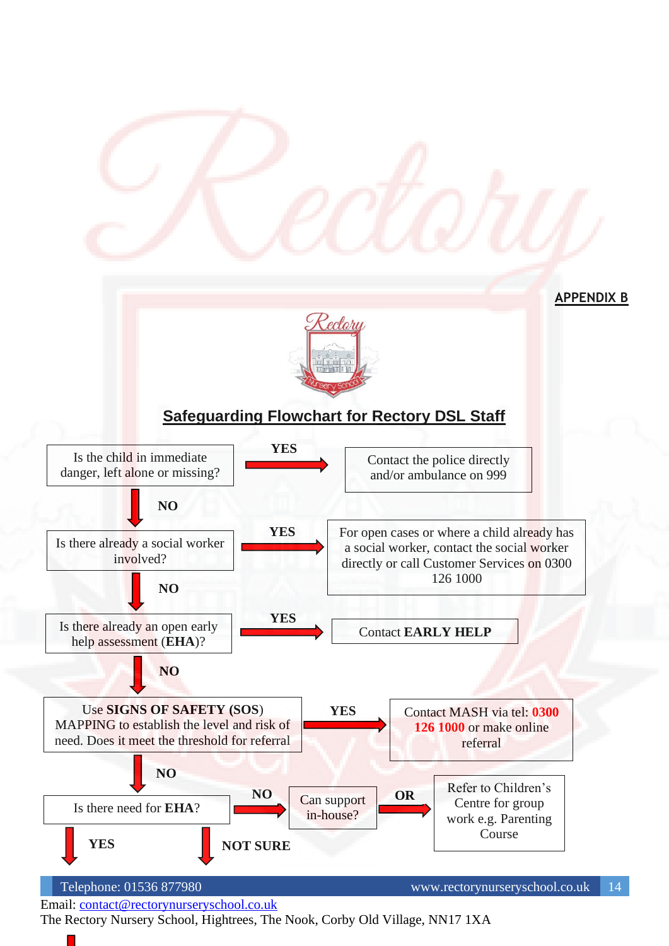

The Rectory Nursery School, Hightrees, The Nook, Corby Old Village, NN17 1XA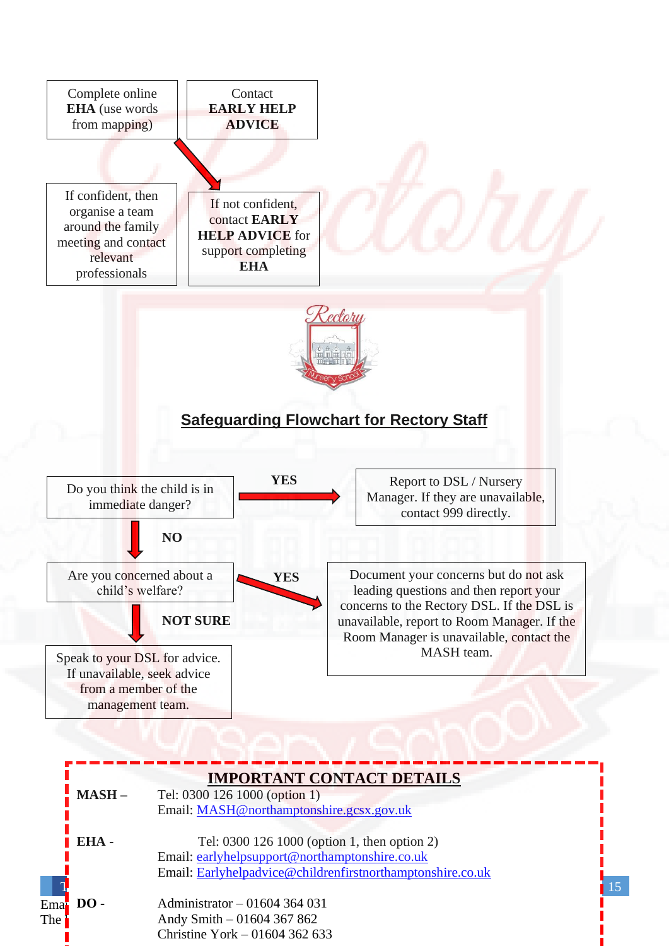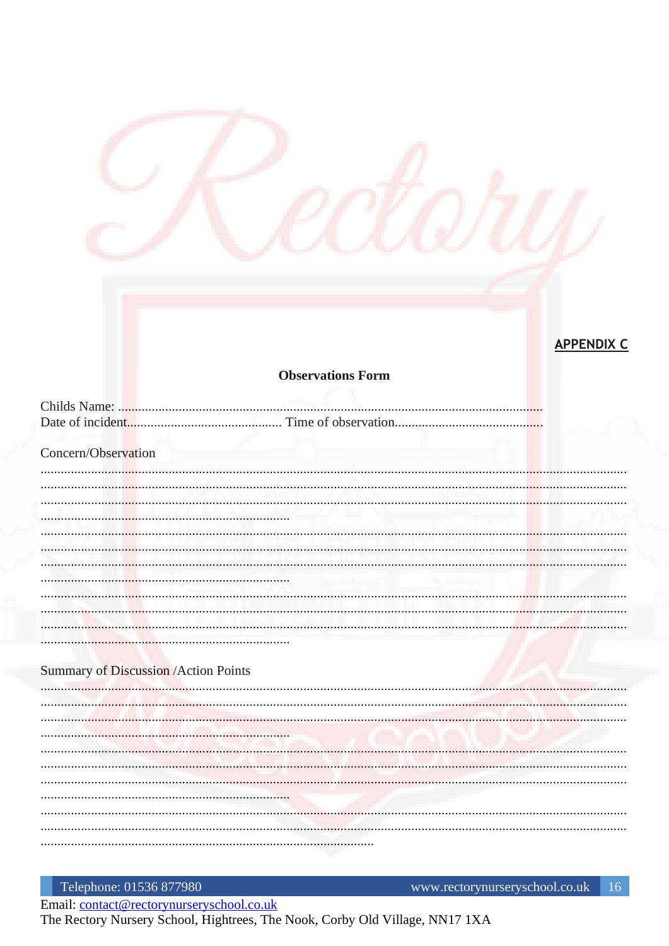# **APPENDIX C**

#### **Observations Form**

| Concern/Observation                         |  |
|---------------------------------------------|--|
|                                             |  |
|                                             |  |
|                                             |  |
|                                             |  |
|                                             |  |
|                                             |  |
|                                             |  |
|                                             |  |
|                                             |  |
|                                             |  |
|                                             |  |
|                                             |  |
| <b>Summary of Discussion /Action Points</b> |  |
|                                             |  |
|                                             |  |
|                                             |  |
|                                             |  |
|                                             |  |
|                                             |  |
|                                             |  |
|                                             |  |
|                                             |  |
|                                             |  |
|                                             |  |

Telephone: 01536 877980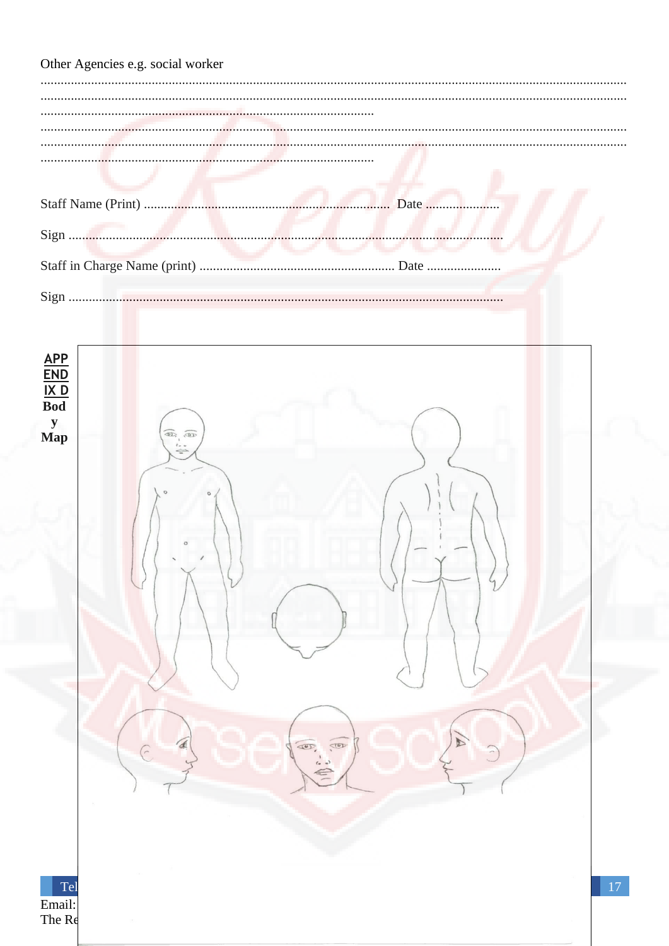| Other Agencies e.g. social worker                   |      |
|-----------------------------------------------------|------|
|                                                     |      |
|                                                     |      |
|                                                     |      |
|                                                     |      |
|                                                     | Date |
|                                                     |      |
|                                                     |      |
|                                                     |      |
|                                                     |      |
| $\mathbf{\underline{APP}}$                          |      |
| $\frac{\overline{\text{END}}}{\text{IX D}}$         |      |
| ${\bf y}$<br>$\textcircled{1}$<br>Map               |      |
|                                                     |      |
|                                                     |      |
|                                                     |      |
|                                                     |      |
|                                                     |      |
|                                                     |      |
|                                                     |      |
|                                                     |      |
|                                                     |      |
| ₫<br>$\overline{\text{CD}}$<br>$\overline{AD}$<br>G |      |
| $(a - b)$                                           |      |
|                                                     |      |
|                                                     |      |
|                                                     |      |
| Tel<br>Email:                                       | 17   |
| The Re                                              |      |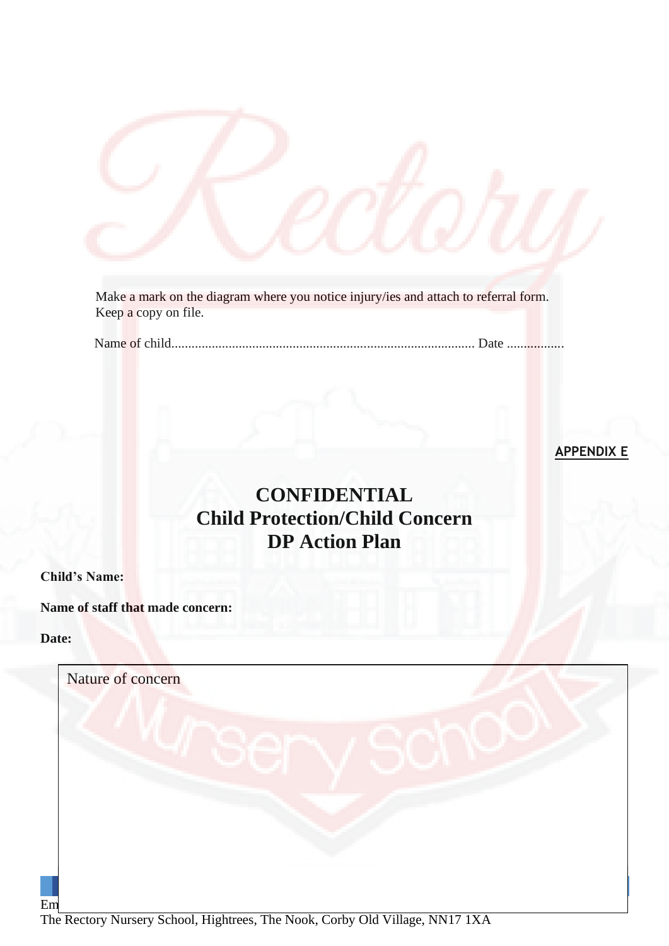Make a mark on the diagram where you notice injury/ies and attach to referral form. Keep a copy on file.

Name of child.......................................................................................... Date .................

**APPENDIX E**

# **CONFIDENTIAL Child Protection/Child Concern DP Action Plan**

## **Child's Name:**

**Name of staff that made concern:** 

#### **Date:**

| Nature of concern |  |
|-------------------|--|
|                   |  |
|                   |  |
|                   |  |
|                   |  |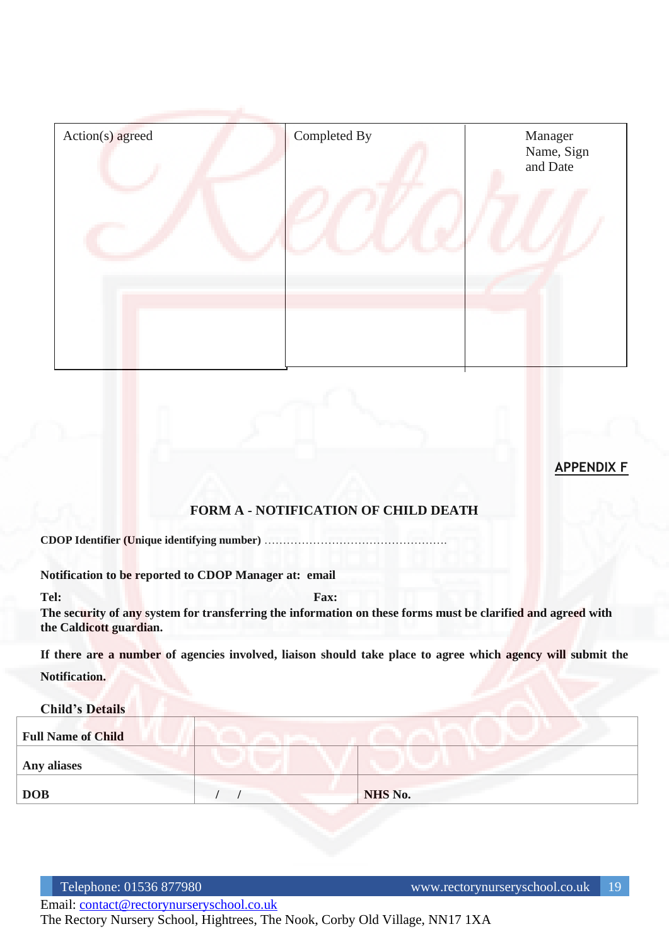| Action(s) agreed | Completed By | Manager<br>Name, Sign<br>and Date |
|------------------|--------------|-----------------------------------|
|                  |              |                                   |
|                  |              |                                   |

**APPENDIX F**

## **FORM A - NOTIFICATION OF CHILD DEATH**

**CDOP Identifier (Unique identifying number)** ………………………………………….

**Notification to be reported to CDOP Manager at: email**

**Tel:** Fax: **Fax:** Fax:

**The security of any system for transferring the information on these forms must be clarified and agreed with the Caldicott guardian.**

**If there are a number of agencies involved, liaison should take place to agree which agency will submit the** 

**Notification.**

#### **Child's Details**

| <b>Full Name of Child</b> |         |
|---------------------------|---------|
| Any aliases               |         |
| <b>DOB</b>                | NHS No. |

Email: [contact@rectorynurseryschool.co.uk](mailto:contact@rectorynurseryschool.co.uk)

The Rectory Nursery School, Hightrees, The Nook, Corby Old Village, NN17 1XA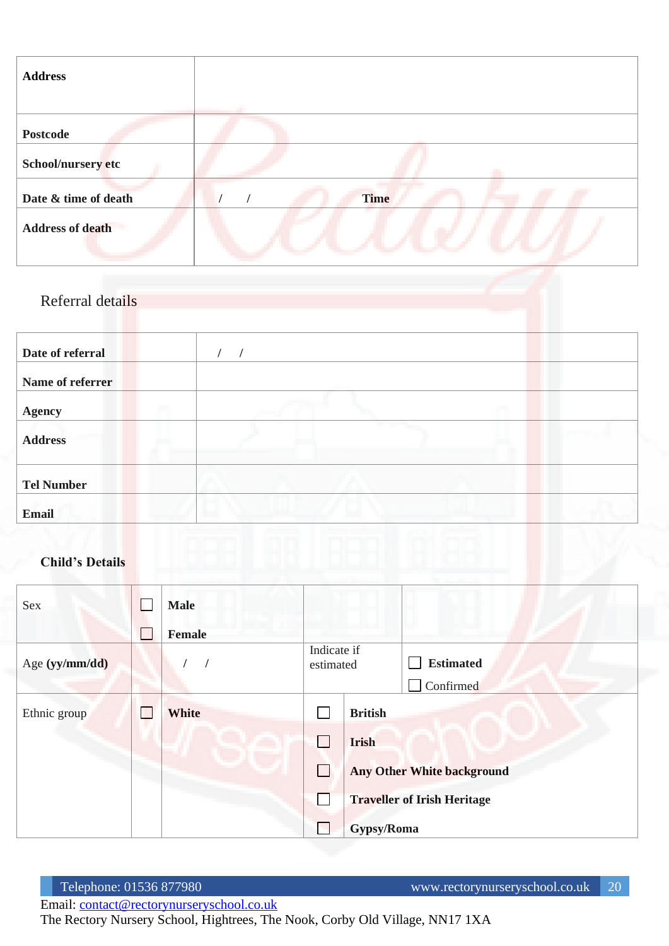| <b>Address</b>          |             |
|-------------------------|-------------|
|                         |             |
| <b>Postcode</b>         |             |
| School/nursery etc      |             |
| Date & time of death    | <b>Time</b> |
| <b>Address of death</b> |             |

Referral details

| Date of referral  |  |
|-------------------|--|
| Name of referrer  |  |
| <b>Agency</b>     |  |
| <b>Address</b>    |  |
| <b>Tel Number</b> |  |
| <b>Email</b>      |  |

## **Child's Details**

| Sex            | <b>Male</b>   |                          |                |                                    |
|----------------|---------------|--------------------------|----------------|------------------------------------|
|                | <b>Female</b> |                          |                |                                    |
| Age (yy/mm/dd) |               | Indicate if<br>estimated |                | <b>Estimated</b>                   |
|                |               |                          |                | Confirmed                          |
| Ethnic group   | White         |                          | <b>British</b> |                                    |
|                |               | I –                      | <b>Irish</b>   |                                    |
|                |               | L                        |                | <b>Any Other White background</b>  |
|                |               |                          |                | <b>Traveller of Irish Heritage</b> |
|                |               |                          | Gypsy/Roma     |                                    |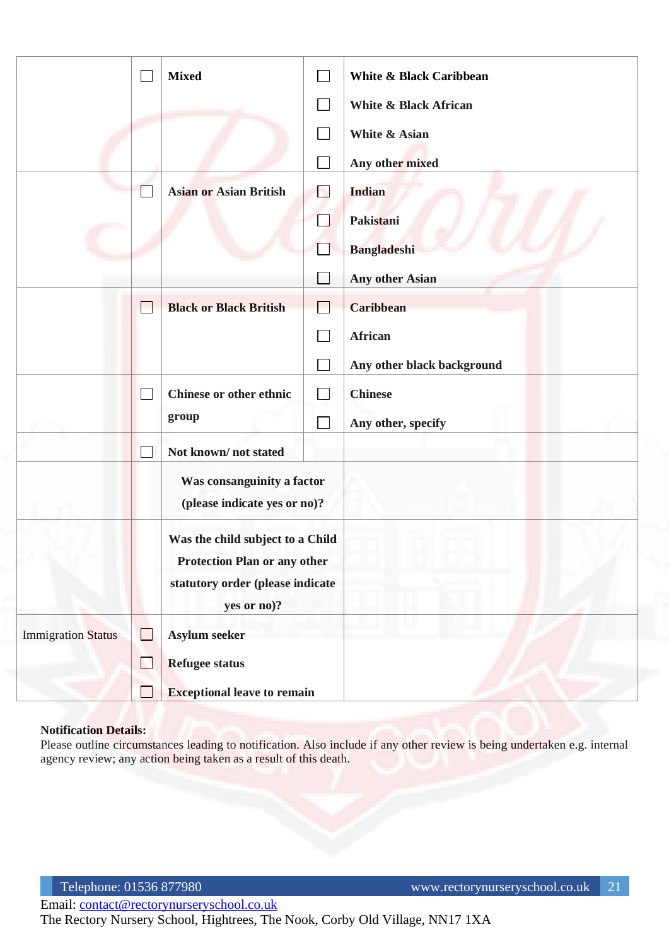|                           |                             | <b>Mixed</b>                                   |  | White & Black Caribbean          |
|---------------------------|-----------------------------|------------------------------------------------|--|----------------------------------|
|                           |                             |                                                |  | <b>White &amp; Black African</b> |
|                           |                             |                                                |  | <b>White &amp; Asian</b>         |
|                           |                             |                                                |  | Any other mixed                  |
|                           |                             | <b>Asian or Asian British</b>                  |  | <b>Indian</b>                    |
|                           |                             |                                                |  | Pakistani                        |
|                           |                             |                                                |  | <b>Bangladeshi</b>               |
|                           |                             |                                                |  | Any other Asian                  |
|                           |                             | <b>Black or Black British</b>                  |  | <b>Caribbean</b>                 |
|                           |                             |                                                |  | African                          |
|                           |                             |                                                |  | Any other black background       |
|                           |                             | <b>Chinese or other ethnic</b>                 |  | <b>Chinese</b>                   |
|                           |                             | group                                          |  | Any other, specify               |
|                           |                             | Not known/not stated                           |  |                                  |
|                           |                             | Was consanguinity a factor                     |  |                                  |
|                           |                             | (please indicate yes or no)?                   |  |                                  |
|                           |                             | Was the child subject to a Child               |  |                                  |
|                           |                             | <b>Protection Plan or any other</b>            |  |                                  |
|                           |                             | statutory order (please indicate<br>yes or no? |  |                                  |
| <b>Immigration Status</b> | $\mathcal{L}_{\mathcal{A}}$ | Asylum seeker                                  |  |                                  |
|                           | H                           | <b>Refugee status</b>                          |  |                                  |
|                           |                             | <b>Exceptional leave to remain</b>             |  |                                  |

#### **Notification Details:**

Please outline circumstances leading to notification. Also include if any other review is being undertaken e.g. internal agency review; any action being taken as a result of this death.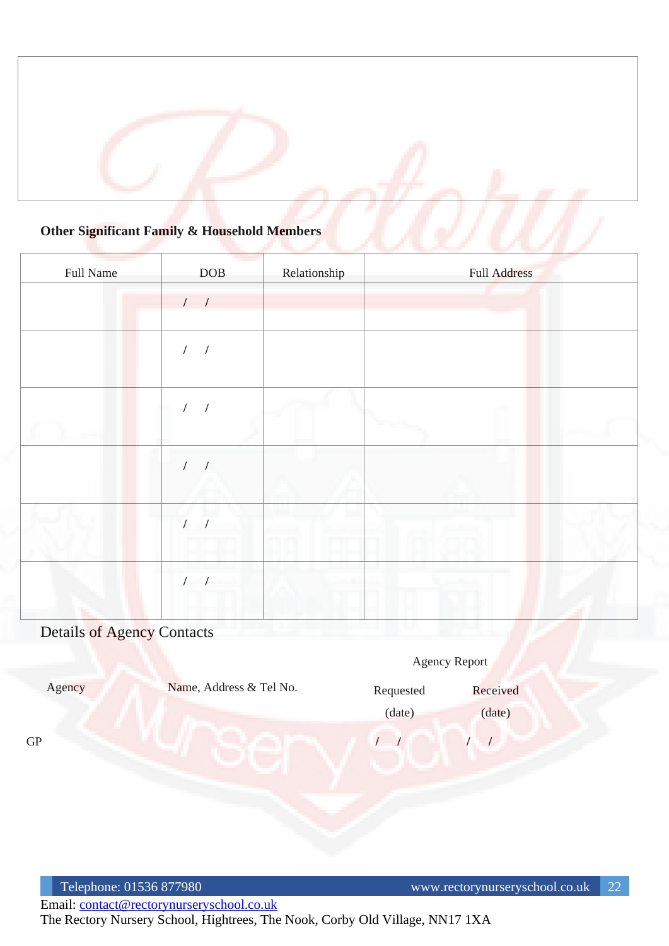## **Other Significant Family & Household Members**

| Full Name | <b>DOB</b>               | Relationship | Full Address |
|-----------|--------------------------|--------------|--------------|
|           | $1 - 1$                  |              |              |
|           | $\sqrt{2}$<br>$\sqrt{2}$ |              |              |
|           |                          |              |              |
|           | $\prime$                 |              |              |
|           |                          |              |              |
|           |                          |              | m            |

# Details of Agency Contacts

|            |                         |           | Agency Report |  |
|------------|-------------------------|-----------|---------------|--|
| Agency     | Name, Address & Tel No. | Requested | Received      |  |
|            |                         | (date)    | (date)        |  |
| ${\rm GP}$ |                         |           |               |  |
|            |                         |           |               |  |
|            |                         |           |               |  |
|            |                         |           |               |  |
|            |                         |           |               |  |
|            |                         |           |               |  |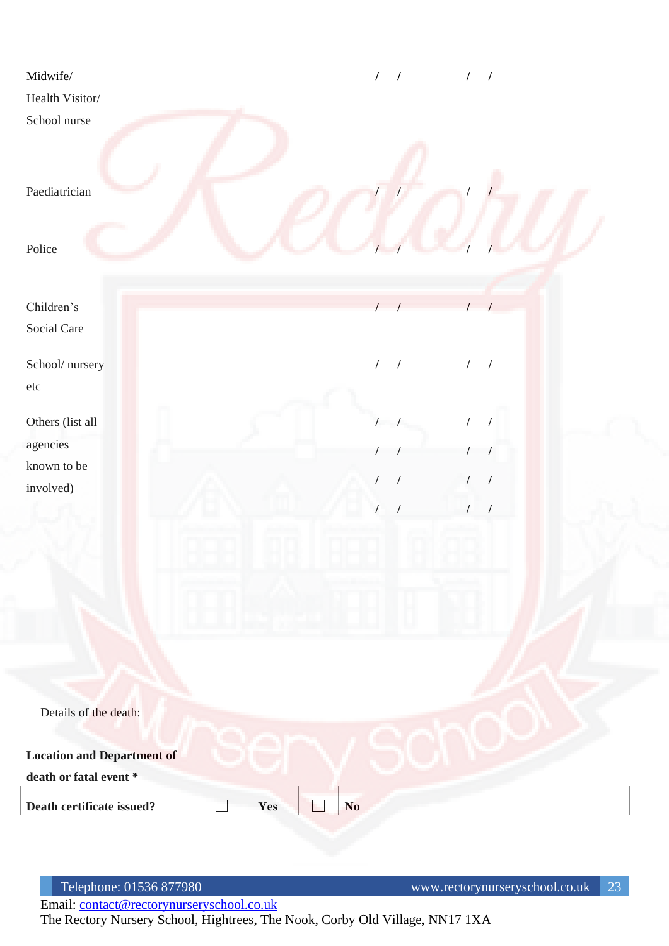| Midwife/                          |     | $\sqrt{ }$<br>$\prime$       | $\frac{1}{2}$                          |  |
|-----------------------------------|-----|------------------------------|----------------------------------------|--|
| Health Visitor/                   |     |                              |                                        |  |
| School nurse                      |     |                              |                                        |  |
| Paediatrician                     |     |                              |                                        |  |
| Police                            |     |                              |                                        |  |
| Children's                        |     | $\sqrt{ }$                   | 1                                      |  |
| Social Care                       |     |                              |                                        |  |
| School/nursery                    |     | $\sqrt{ }$<br>$\overline{1}$ | 1                                      |  |
| $\rm etc$                         |     |                              |                                        |  |
| Others (list all                  |     | $\prime$                     | $\sqrt{2}$                             |  |
| agencies                          |     |                              | $\sqrt{2}$                             |  |
| known to be<br>involved)          |     | $\sqrt{\phantom{a}}$         | $\overline{1}$                         |  |
|                                   |     |                              | $\sqrt{\phantom{a}}$<br>$\overline{1}$ |  |
|                                   |     |                              |                                        |  |
|                                   |     |                              |                                        |  |
|                                   |     |                              |                                        |  |
|                                   |     |                              |                                        |  |
|                                   |     |                              |                                        |  |
|                                   |     |                              |                                        |  |
| Details of the death:             |     |                              |                                        |  |
| <b>Location and Department of</b> |     |                              |                                        |  |
| death or fatal event $^\ast$      |     |                              |                                        |  |
| Death certificate issued?         | Yes | N <sub>o</sub>               |                                        |  |
|                                   |     |                              |                                        |  |

Telephone: 01536 877980 www.rectorynurseryschool.co.uk 23

Email: [contact@rectorynurseryschool.co.uk](mailto:contact@rectorynurseryschool.co.uk)

The Rectory Nursery School, Hightrees, The Nook, Corby Old Village, NN17 1XA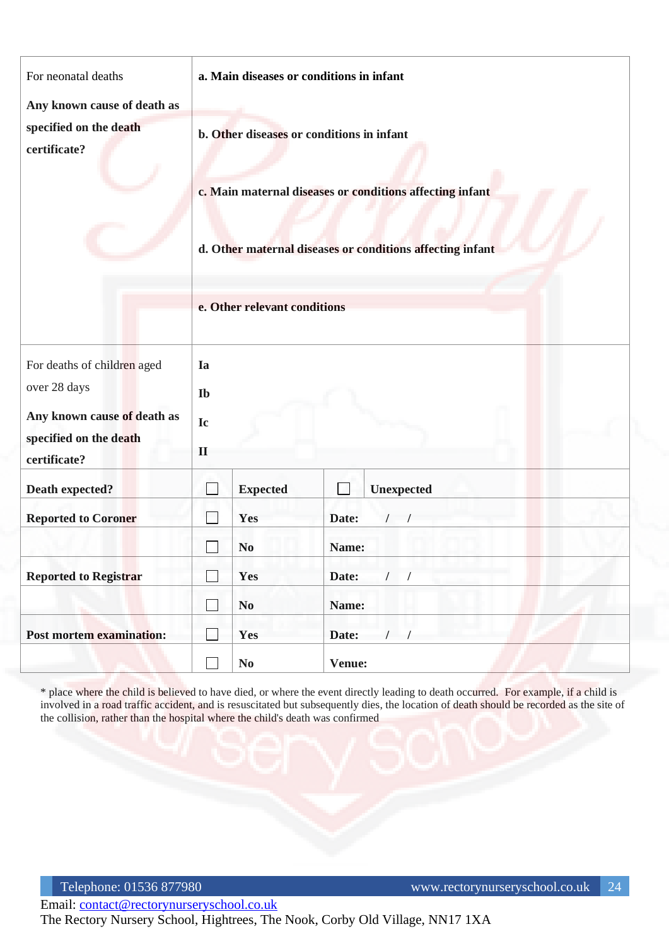| For neonatal deaths                                                                                                  | a. Main diseases or conditions in infant                                                                                                                                                           |                        |                   |  |  |
|----------------------------------------------------------------------------------------------------------------------|----------------------------------------------------------------------------------------------------------------------------------------------------------------------------------------------------|------------------------|-------------------|--|--|
| Any known cause of death as                                                                                          |                                                                                                                                                                                                    |                        |                   |  |  |
| specified on the death<br>certificate?                                                                               | b. Other diseases or conditions in infant<br>c. Main maternal diseases or conditions affecting infant<br>d. Other maternal diseases or conditions affecting infant<br>e. Other relevant conditions |                        |                   |  |  |
| For deaths of children aged<br>over 28 days<br>Any known cause of death as<br>specified on the death<br>certificate? | Ia<br>Ib<br>Ic<br>$\mathbf{I}$                                                                                                                                                                     |                        |                   |  |  |
| Death expected?                                                                                                      |                                                                                                                                                                                                    | <b>Expected</b>        | Unexpected        |  |  |
| <b>Reported to Coroner</b>                                                                                           |                                                                                                                                                                                                    | Yes                    | Date:<br>$\prime$ |  |  |
|                                                                                                                      |                                                                                                                                                                                                    | N <sub>o</sub>         | Name:             |  |  |
| <b>Reported to Registrar</b>                                                                                         |                                                                                                                                                                                                    | Yes                    | Date:<br>$\prime$ |  |  |
|                                                                                                                      | $\overline{\phantom{0}}$                                                                                                                                                                           | $\bf No$               | Name:             |  |  |
| Post mortem examination:                                                                                             |                                                                                                                                                                                                    | Yes                    | Date:             |  |  |
|                                                                                                                      |                                                                                                                                                                                                    | $\mathbf{N}\mathbf{0}$ | Venue:            |  |  |

\* place where the child is believed to have died, or where the event directly leading to death occurred. For example, if a child is involved in a road traffic accident, and is resuscitated but subsequently dies, the location of death should be recorded as the site of the collision, rather than the hospital where the child's death was confirmed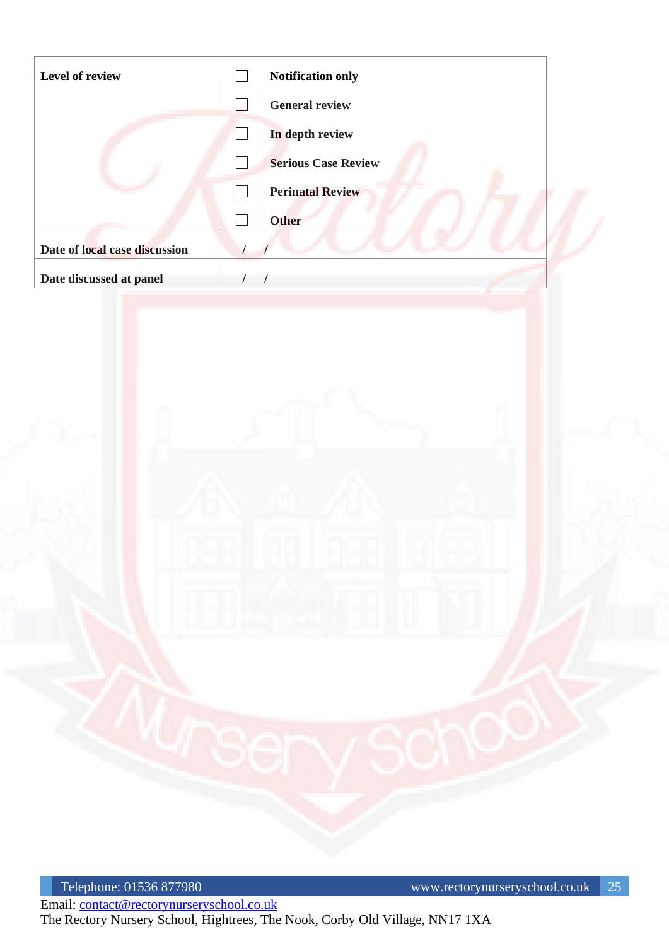| <b>General review</b><br>$\Box$<br>In depth review<br>×.<br><b>Serious Case Review</b><br><b>Perinatal Review</b><br>Other<br>Date of local case discussion<br>Date discussed at panel<br>$\prime$<br>$\prime$ |  |
|----------------------------------------------------------------------------------------------------------------------------------------------------------------------------------------------------------------|--|
|                                                                                                                                                                                                                |  |
|                                                                                                                                                                                                                |  |
|                                                                                                                                                                                                                |  |
|                                                                                                                                                                                                                |  |
|                                                                                                                                                                                                                |  |
|                                                                                                                                                                                                                |  |
|                                                                                                                                                                                                                |  |
|                                                                                                                                                                                                                |  |
|                                                                                                                                                                                                                |  |
|                                                                                                                                                                                                                |  |
|                                                                                                                                                                                                                |  |
|                                                                                                                                                                                                                |  |
|                                                                                                                                                                                                                |  |
|                                                                                                                                                                                                                |  |
|                                                                                                                                                                                                                |  |
|                                                                                                                                                                                                                |  |
|                                                                                                                                                                                                                |  |
|                                                                                                                                                                                                                |  |
|                                                                                                                                                                                                                |  |
|                                                                                                                                                                                                                |  |
|                                                                                                                                                                                                                |  |
|                                                                                                                                                                                                                |  |
|                                                                                                                                                                                                                |  |
|                                                                                                                                                                                                                |  |
|                                                                                                                                                                                                                |  |
|                                                                                                                                                                                                                |  |
|                                                                                                                                                                                                                |  |
|                                                                                                                                                                                                                |  |
|                                                                                                                                                                                                                |  |
|                                                                                                                                                                                                                |  |
|                                                                                                                                                                                                                |  |
|                                                                                                                                                                                                                |  |
|                                                                                                                                                                                                                |  |
|                                                                                                                                                                                                                |  |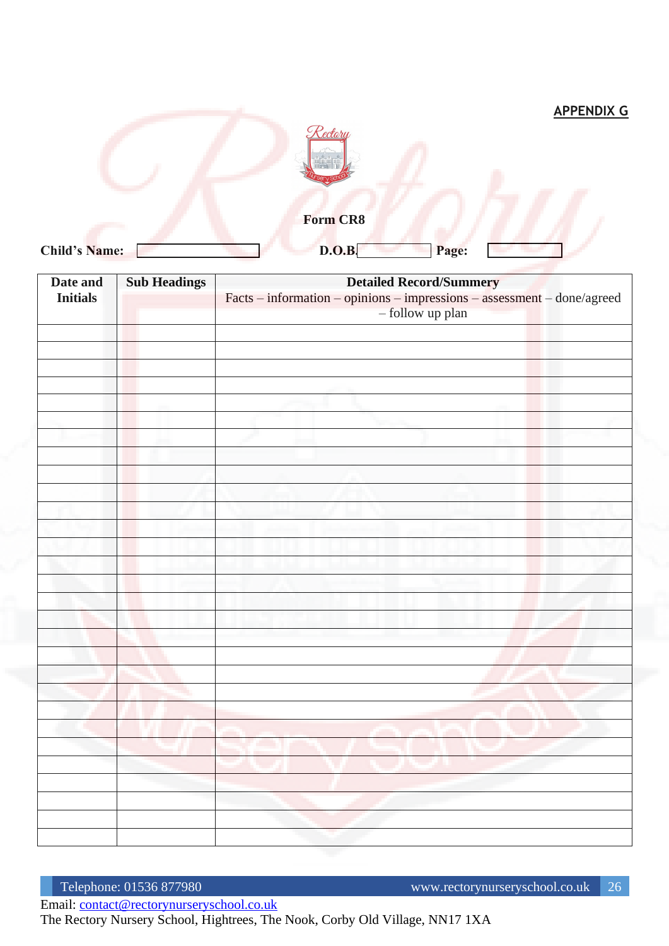|                      |                 |       | <b>APPENDIX G</b> |
|----------------------|-----------------|-------|-------------------|
|                      | Cectory         |       |                   |
|                      | <b>Form CR8</b> |       |                   |
| <b>Child's Name:</b> | D.O.B           | Page: |                   |

| Date and        | <b>Sub Headings</b> | <b>Detailed Record/Summery</b>                                            |
|-----------------|---------------------|---------------------------------------------------------------------------|
| <b>Initials</b> |                     | $Facts - information - opinions - impressions - assessment - done/agreed$ |
|                 |                     | - follow up plan                                                          |
|                 |                     |                                                                           |
|                 |                     |                                                                           |
|                 |                     |                                                                           |
|                 |                     |                                                                           |
|                 |                     |                                                                           |
|                 |                     |                                                                           |
|                 |                     |                                                                           |
|                 |                     |                                                                           |
|                 |                     |                                                                           |
|                 |                     |                                                                           |
|                 |                     |                                                                           |
|                 |                     |                                                                           |
|                 |                     |                                                                           |
|                 |                     |                                                                           |
|                 |                     |                                                                           |
|                 |                     |                                                                           |
|                 |                     |                                                                           |
|                 |                     |                                                                           |
|                 |                     |                                                                           |
|                 |                     |                                                                           |
|                 |                     |                                                                           |
|                 |                     |                                                                           |
|                 |                     |                                                                           |
|                 |                     |                                                                           |
|                 |                     |                                                                           |
|                 |                     |                                                                           |
|                 |                     |                                                                           |
|                 |                     |                                                                           |
|                 |                     |                                                                           |
|                 |                     |                                                                           |
|                 |                     |                                                                           |
|                 |                     |                                                                           |
|                 |                     |                                                                           |
|                 |                     |                                                                           |
|                 |                     |                                                                           |

Email: [contact@rectorynurseryschool.co.uk](mailto:contact@rectorynurseryschool.co.uk)

The Rectory Nursery School, Hightrees, The Nook, Corby Old Village, NN17 1XA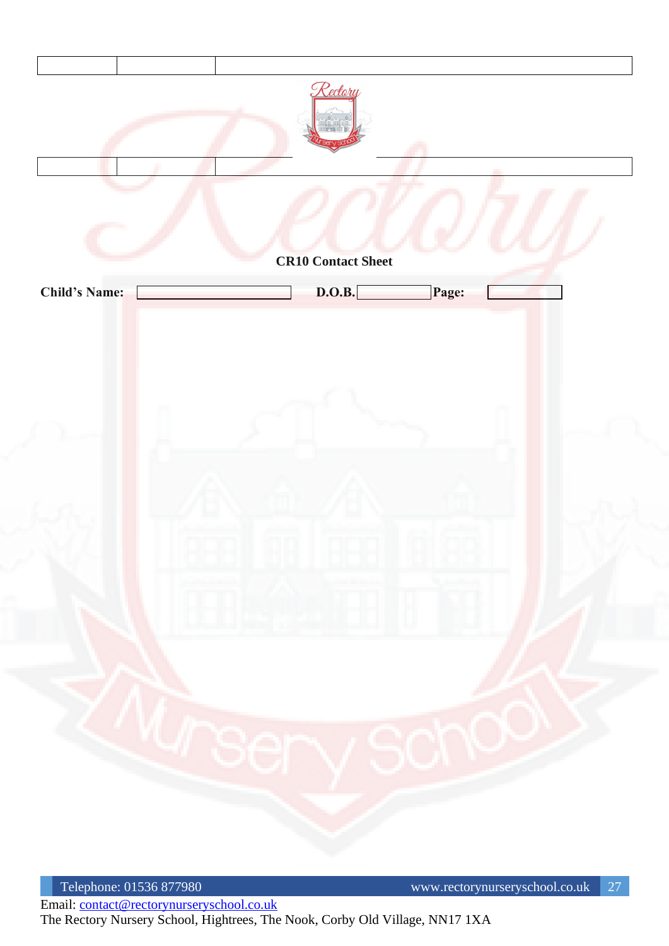

Telephone: 01536 877980 www.rectorynurseryschool.co.uk 27